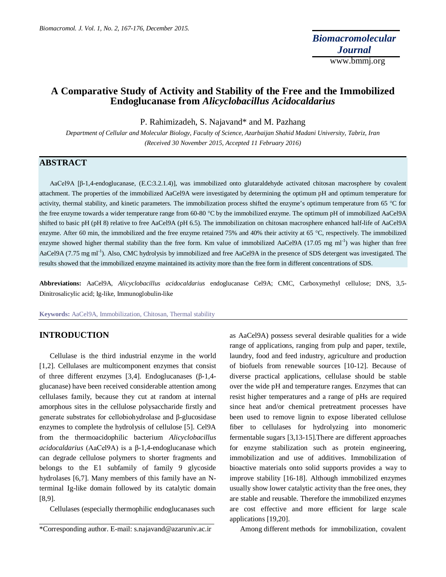# **A Comparative Study of Activity and Stability of the Free and the Immobilized Endoglucanase from** *Alicyclobacillus Acidocaldarius*

P. Rahimizadeh, S. Najavand\* and M. Pazhang

*Department of Cellular and Molecular Biology, Faculty of Science, Azarbaijan Shahid Madani University, Tabriz, Iran (Received 30 November 2015, Accepted 11 February 2016)*

# **ABSTRACT**

AaCel9A [β-1,4-endoglucanase, (E.C:3.2.1.4)], was immobilized onto glutaraldehyde activated chitosan macrosphere by covalent attachment. The properties of the immobilized AaCel9A were investigated by determining the optimum pH and optimum temperature for activity, thermal stability, and kinetic parameters. The immobilization process shifted the enzyme's optimum temperature from 65 °C for the free enzyme towards a wider temperature range from 60-80 °C by the immobilized enzyme. The optimum pH of immobilized AaCel9A shifted to basic pH (pH 8) relative to free AaCel9A (pH 6.5). The immobilization on chitosan macrosphere enhanced half-life of AaCel9A enzyme. After 60 min, the immobilized and the free enzyme retained 75% and 40% their activity at 65 °C, respectively. The immobilized enzyme showed higher thermal stability than the free form. Km value of immobilized AaCel9A (17.05 mg ml<sup>-1</sup>) was higher than free AaCel9A (7.75 mg ml<sup>-1</sup>). Also, CMC hydrolysis by immobilized and free AaCel9A in the presence of SDS detergent was investigated. The results showed that the immobilized enzyme maintained its activity more than the free form in different concentrations of SDS.

**Abbreviations:** AaCel9A, *Alicyclobacillus acidocaldarius* endoglucanase Cel9A; CMC, Carboxymethyl cellulose; DNS, 3,5- Dinitrosalicylic acid; Ig-like, Immunoglobulin-like

**Keywords:** AaCel9A, Immobilization, Chitosan, Thermal stability

### **INTRODUCTION**

Cellulase is the third industrial enzyme in the world [1,2]. Cellulases are multicomponent enzymes that consist of three different enzymes [3,4]. Endoglucanases (β-1,4 glucanase) have been received considerable attention among cellulases family, because they cut at random at internal amorphous sites in the cellulose polysaccharide firstly and generate substrates for cellobiohydrolase and β-glucosidase enzymes to complete the hydrolysis of cellulose [5]. Cel9A from the thermoacidophilic bacterium *Alicyclobacillus acidocaldarius* (AaCel9A) is a β-1,4-endoglucanase which can degrade cellulose polymers to shorter fragments and belongs to the E1 subfamily of family 9 glycoside hydrolases [6,7]. Many members of this family have an Nterminal Ig-like domain followed by its catalytic domain [8,9].

Cellulases (especially thermophilic endoglucanases such

as AaCel9A) possess several desirable qualities for a wide range of applications, ranging from pulp and paper, textile, laundry, food and feed industry, agriculture and production of biofuels from renewable sources [10-12]. Because of diverse practical applications, cellulase should be stable over the wide pH and temperature ranges. Enzymes that can resist higher temperatures and a range of pHs are required since heat and/or chemical pretreatment processes have been used to remove lignin to expose liberated cellulose fiber to cellulases for hydrolyzing into monomeric fermentable sugars [3,13-15].There are different approaches for enzyme stabilization such as protein engineering, immobilization and use of additives. Immobilization of bioactive materials onto solid supports provides a way to improve stability [16-18]. Although immobilized enzymes usually show lower catalytic activity than the free ones, they are stable and reusable. Therefore the immobilized enzymes are cost effective and more efficient for large scale applications [19,20].

Among different methods for immobilization, covalent

<sup>\*</sup>Corresponding author. E-mail: s.najavand@azaruniv.ac.ir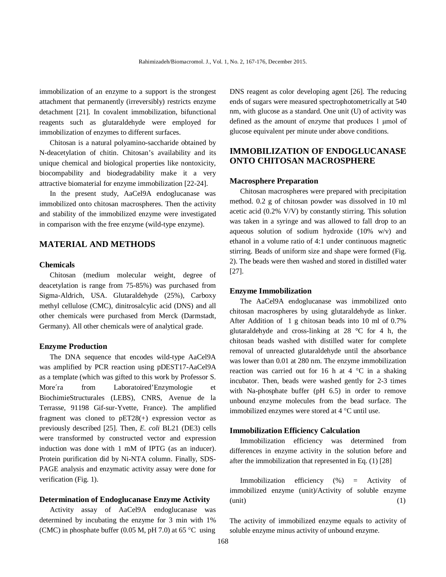immobilization of an enzyme to a support is the strongest attachment that permanently (irreversibly) restricts enzyme detachment [21]. In covalent immobilization, bifunctional reagents such as glutaraldehyde were employed for immobilization of enzymes to different surfaces.

Chitosan is a natural polyamino-saccharide obtained by N-deacetylation of chitin. Chitosan's availability and its unique chemical and biological properties like nontoxicity, biocompability and biodegradability make it a very attractive biomaterial for enzyme immobilization [22-24].

In the present study, AaCel9A endoglucanase was immobilized onto chitosan macrospheres. Then the activity and stability of the immobilized enzyme were investigated in comparison with the free enzyme (wild-type enzyme).

### **MATERIAL AND METHODS**

#### **Chemicals**

Chitosan (medium molecular weight, degree of deacetylation is range from 75-85%) was purchased from Sigma-Aldrich, USA. Glutaraldehyde (25%), Carboxy methyl cellulose (CMC), dinitrosalcylic acid (DNS) and all other chemicals were purchased from Merck (Darmstadt, Germany). All other chemicals were of analytical grade.

#### **Enzyme Production**

The DNA sequence that encodes wild-type AaCel9A was amplified by PCR reaction using pDEST17-AaCel9A as a template (which was gifted to this work by Professor S. More´ra from Laboratoired'Enzymologie et BiochimieStructurales (LEBS), CNRS, Avenue de la Terrasse, 91198 Gif-sur-Yvette, France). The amplified fragment was cloned to pET28(+) expression vector as previously described [25]. Then, *E. coli* BL21 (DE3) cells were transformed by constructed vector and expression induction was done with 1 mM of IPTG (as an inducer). Protein purification did by Ni-NTA column. Finally, SDS-PAGE analysis and enzymatic activity assay were done for verification (Fig. 1).

#### **Determination of Endoglucanase Enzyme Activity**

Activity assay of AaCel9A endoglucanase was determined by incubating the enzyme for 3 min with 1% (CMC) in phosphate buffer (0.05 M, pH 7.0) at 65  $\degree$ C using

DNS reagent as color developing agent [26]. The reducing ends of sugars were measured spectrophotometrically at 540 nm, with glucose as a standard. One unit (U) of activity was defined as the amount of enzyme that produces 1 μmol of glucose equivalent per minute under above conditions.

## **IMMOBILIZATION OF ENDOGLUCANASE ONTO CHITOSAN MACROSPHERE**

#### **Macrosphere Preparation**

Chitosan macrospheres were prepared with precipitation method. 0.2 g of chitosan powder was dissolved in 10 ml acetic acid (0.2% V/V) by constantly stirring. This solution was taken in a syringe and was allowed to fall drop to an aqueous solution of sodium hydroxide (10% w/v) and ethanol in a volume ratio of 4:1 under continuous magnetic stirring. Beads of uniform size and shape were formed (Fig. 2). The beads were then washed and stored in distilled water [27].

#### **Enzyme Immobilization**

The AaCel9A endoglucanase was immobilized onto chitosan macrospheres by using glutaraldehyde as linker. After Addition of 1 g chitosan beads into 10 ml of 0.7% glutaraldehyde and cross-linking at 28 °C for 4 h, the chitosan beads washed with distilled water for complete removal of unreacted glutaraldehyde until the absorbance was lower than 0.01 at 280 nm. The enzyme immobilization reaction was carried out for 16 h at  $4 \degree C$  in a shaking incubator. Then, beads were washed gently for 2-3 times with Na-phosphate buffer (pH 6.5) in order to remove unbound enzyme molecules from the bead surface. The immobilized enzymes were stored at  $4^{\circ}$ C until use.

#### **Immobilization Efficiency Calculation**

Immobilization efficiency was determined from differences in enzyme activity in the solution before and after the immobilization that represented in Eq. (1) [28]

Immobilization efficiency (%) = Activity of immobilized enzyme (unit)/Activity of soluble enzyme  $(\text{unit})$  (1)

The activity of immobilized enzyme equals to activity of soluble enzyme minus activity of unbound enzyme.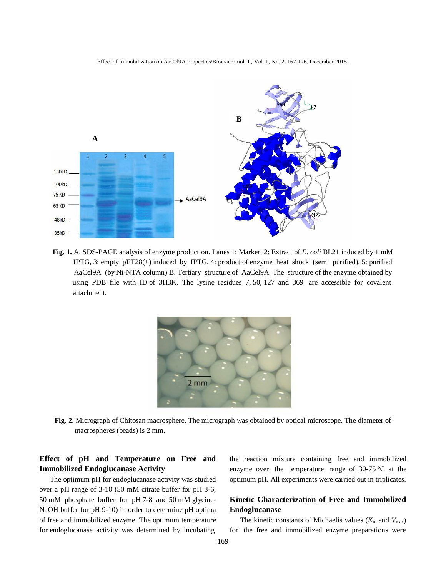

Effect of Immobilization on AaCel9A Properties/Biomacromol. J., Vol. 1, No. 2, 167-176, December 2015.

**Fig. 1.** A. SDS-PAGE analysis of enzyme production. Lanes 1: Marker, 2: Extract of *E. coli* BL21 induced by 1 mM IPTG, 3: empty pET28(+) induced by IPTG, 4: product of enzyme heat shock (semi purified), 5: purified AaCel9A (by Ni-NTA column) B. Tertiary structure of AaCel9A. The structure of the enzyme obtained by using PDB file with ID of 3H3K. The lysine residues 7, 50, 127 and 369 are accessible for covalent attachment.



**Fig. 2.** Micrograph of Chitosan macrosphere. The micrograph was obtained by optical microscope. The diameter of macrospheres (beads) is 2 mm.

# **Effect of pH and Temperature on Free and Immobilized Endoglucanase Activity**

The optimum pH for endoglucanase activity was studied over a pH range of 3-10 (50 mM citrate buffer for pH 3-6, 50 mM phosphate buffer for pH 7-8 and 50 mM glycine-NaOH buffer for pH 9-10) in order to determine pH optima of free and immobilized enzyme. The optimum temperature for endoglucanase activity was determined by incubating

the reaction mixture containing free and immobilized enzyme over the temperature range of 30-75 ºC at the optimum pH. All experiments were carried out in triplicates.

# **Kinetic Characterization of Free and Immobilized Endoglucanase**

The kinetic constants of Michaelis values ( $K<sub>m</sub>$  and  $V<sub>max</sub>$ ) for the free and immobilized enzyme preparations were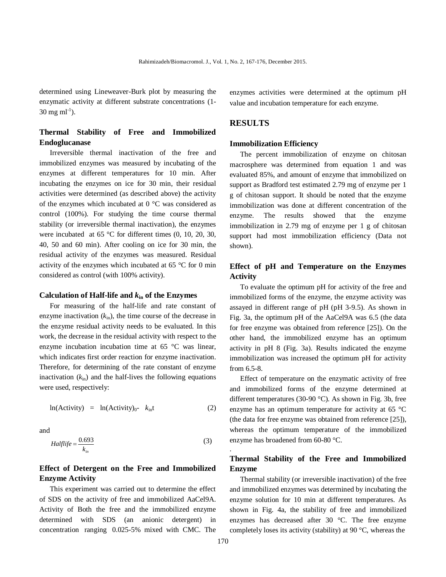determined using Lineweaver-Burk plot by measuring the enzymatic activity at different substrate concentrations (1-  $30 \text{ mg ml}^{-1}$ ).

# **Thermal Stability of Free and Immobilized Endoglucanase**

Irreversible thermal inactivation of the free and immobilized enzymes was measured by incubating of the enzymes at different temperatures for 10 min. After incubating the enzymes on ice for 30 min, their residual activities were determined (as described above) the activity of the enzymes which incubated at 0 °C was considered as control (100%). For studying the time course thermal stability (or irreversible thermal inactivation), the enzymes were incubated at 65 °C for different times (0, 10, 20, 30, 40, 50 and 60 min). After cooling on ice for 30 min, the residual activity of the enzymes was measured. Residual activity of the enzymes which incubated at 65 °C for 0 min considered as control (with 100% activity).

#### **Calculation of Half-life and** *k***in of the Enzymes**

For measuring of the half-life and rate constant of enzyme inactivation  $(k_{in})$ , the time course of the decrease in the enzyme residual activity needs to be evaluated. In this work, the decrease in the residual activity with respect to the enzyme incubation incubation time at 65 °C was linear, which indicates first order reaction for enzyme inactivation. Therefore, for determining of the rate constant of enzyme inactivation  $(k_{in})$  and the half-lives the following equations were used, respectively:

$$
\ln(\text{Activity}) = \ln(\text{Activity})_0 - k_{\text{in}}t \tag{2}
$$

and

$$
Halflife = \frac{0.693}{k_{in}} \tag{3}
$$

## **Effect of Detergent on the Free and Immobilized Enzyme Activity**

This experiment was carried out to determine the effect of SDS on the activity of free and immobilized AaCel9A. Activity of Both the free and the immobilized enzyme determined with SDS (an anionic detergent) in concentration ranging 0.025-5% mixed with CMC. The enzymes activities were determined at the optimum pH value and incubation temperature for each enzyme.

### **RESULTS**

#### **Immobilization Efficiency**

The percent immobilization of enzyme on chitosan macrosphere was determined from equation 1 and was evaluated 85%, and amount of enzyme that immobilized on support as Bradford test estimated 2.79 mg of enzyme per 1 g of chitosan support. It should be noted that the enzyme immobilization was done at different concentration of the enzyme. The results showed that the enzyme immobilization in 2.79 mg of enzyme per 1 g of chitosan support had most immobilization efficiency (Data not shown).

## **Effect of pH and Temperature on the Enzymes Activity**

To evaluate the optimum pH for activity of the free and immobilized forms of the enzyme, the enzyme activity was assayed in different range of pH (pH 3-9.5). As shown in Fig. 3a, the optimum pH of the AaCel9A was 6.5 (the data for free enzyme was obtained from reference [25]). On the other hand, the immobilized enzyme has an optimum activity in pH 8 (Fig. 3a). Results indicated the enzyme immobilization was increased the optimum pH for activity from 6.5-8.

Effect of temperature on the enzymatic activity of free and immobilized forms of the enzyme determined at different temperatures (30-90 °C). As shown in Fig. 3b, free enzyme has an optimum temperature for activity at 65 °C (the data for free enzyme was obtained from reference [25]), whereas the optimum temperature of the immobilized enzyme has broadened from 60-80 °C.

# **Thermal Stability of the Free and Immobilized Enzyme**

Thermal stability (or irreversible inactivation) of the free and immobilized enzymes was determined by incubating the enzyme solution for 10 min at different temperatures. As shown in Fig. 4a, the stability of free and immobilized enzymes has decreased after 30 °C. The free enzyme completely loses its activity (stability) at 90 °C, whereas the

.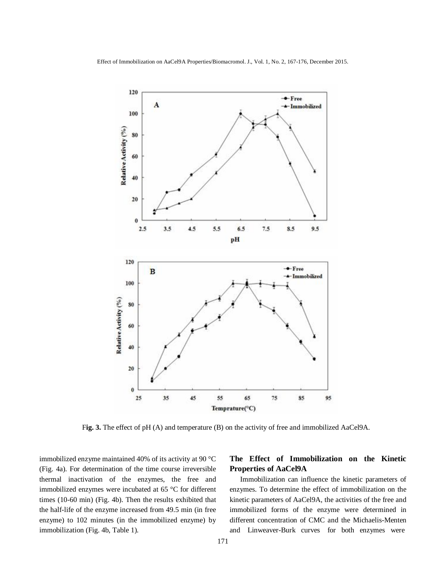Effect of Immobilization on AaCel9A Properties/Biomacromol. J., Vol. 1, No. 2, 167-176, December 2015.



F**ig. 3.** The effect of pH (A) and temperature (B) on the activity of free and immobilized AaCel9A.

immobilized enzyme maintained 40% of its activity at 90 °C (Fig. 4a). For determination of the time course irreversible thermal inactivation of the enzymes, the free and immobilized enzymes were incubated at 65 °C for different times (10-60 min) (Fig. 4b). Then the results exhibited that the half-life of the enzyme increased from 49.5 min (in free enzyme) to 102 minutes (in the immobilized enzyme) by immobilization (Fig. 4b, Table 1).

# **The Effect of Immobilization on the Kinetic Properties of AaCel9A**

Immobilization can influence the kinetic parameters of enzymes. To determine the effect of immobilization on the kinetic parameters of AaCel9A, the activities of the free and immobilized forms of the enzyme were determined in different concentration of CMC and the Michaelis-Menten and Linweaver-Burk curves for both enzymes were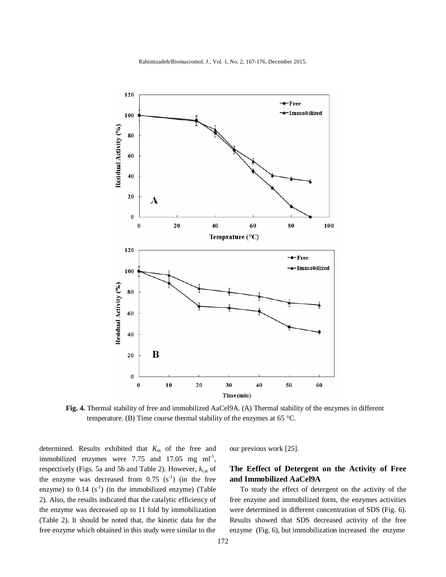

Rahimizadeh/Biomacromol. J., Vol. 1, No. 2, 167-176, December 2015.

**Fig. 4.** Thermal stability of free and immobilized AaCel9A. (A) Thermal stability of the enzymes in different temperature. (B) Time course thermal stability of the enzymes at 65 °C.

determined. Results exhibited that  $K<sub>m</sub>$  of the free and immobilized enzymes were 7.75 and 17.05 mg  $ml^{-1}$ , respectively (Figs. 5a and 5b and Table 2). However,  $k_{\text{cat}}$  of the enzyme was decreased from  $0.75$  (s<sup>-1</sup>) (in the free enzyme) to  $0.14$  (s<sup>-1</sup>) (in the immobilized enzyme) (Table 2). Also, the results indicated that the catalytic efficiency of the enzyme was decreased up to 11 fold by immobilization (Table 2). It should be noted that, the kinetic data for the free enzyme which obtained in this study were similar to the

our previous work [25].

# **The Eeffect of Detergent on the Activity of Free and Immobilized AaCel9A**

To study the effect of detergent on the activity of the free enzyme and immobilized form, the enzymes activities were determined in different concentration of SDS (Fig. 6). Results showed that SDS decreased activity of the free enzyme (Fig. 6), but immobilization increased the enzyme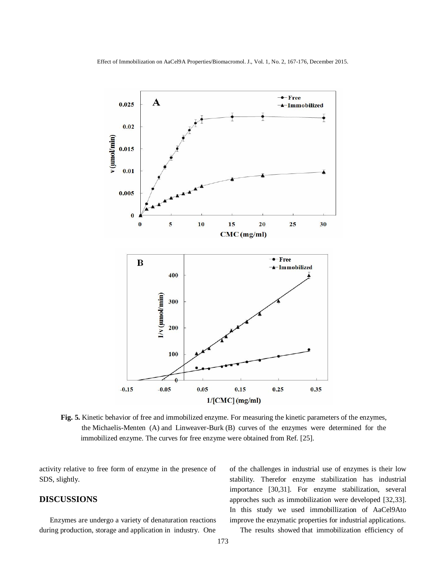

**Fig. 5.** Kinetic behavior of free and immobilized enzyme. For measuring the kinetic parameters of the enzymes, the Michaelis-Menten (A) and Linweaver-Burk (B) curves of the enzymes were determined for the immobilized enzyme. The curves for free enzyme were obtained from Ref. [25].

activity relative to free form of enzyme in the presence of SDS, slightly.

## **DISCUSSIONS**

Enzymes are undergo a variety of denaturation reactions during production, storage and application in industry. One

of the challenges in industrial use of enzymes is their low stability. Therefor enzyme stabilization has industrial importance [30,31]. For enzyme stabilization, several approches such as immobilization were developed [32,33]. In this study we used immobillization of AaCel9Ato improve the enzymatic properties for industrial applications.

The results showed that immobilization efficiency of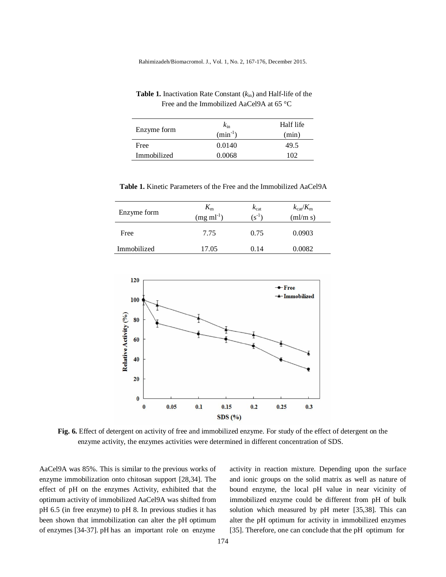Rahimizadeh/Biomacromol. J., Vol. 1, No. 2, 167-176, December 2015.

| Enzyme form | $k_{\rm in}$ | Half life |
|-------------|--------------|-----------|
|             | $(min^{-1})$ | (min)     |
| Free        | 0.0140       | 49.5      |
| Immobilized | 0.0068       | מחי       |
|             |              |           |

 **Table 1.** Inactivation Rate Constant (*k*in) and Half-life of the Free and the Immobilized AaCel9A at 65 °C

| Enzyme form | $K_{\rm m}$<br>$(mg ml^{-1})$ | $k_{\text{cat}}$<br>$(s^{-1})$ | $k_{\text{cat}}/K_{\text{m}}$<br>(ml/m s) |
|-------------|-------------------------------|--------------------------------|-------------------------------------------|
| Free        | 7.75                          | 0.75                           | 0.0903                                    |
| Immobilized | 17.05                         | 0.14                           | 0.0082                                    |



**Fig. 6.** Effect of detergent on activity of free and immobilized enzyme. For study of the effect of detergent on the enzyme activity, the enzymes activities were determined in different concentration of SDS.

AaCel9A was 85%. This is similar to the previous works of enzyme immobilization onto chitosan support [28,34]. The effect of pH on the enzymes Activity, exhibited that the optimum activity of immobilized AaCel9A was shifted from pH 6.5 (in free enzyme) to pH 8. In previous studies it has been shown that immobilization can alter the pH optimum of enzymes [34-37]. pH has an important role on enzyme

activity in reaction mixture. Depending upon the surface and ionic groups on the solid matrix as well as nature of bound enzyme, the local pH value in near vicinity of immobilized enzyme could be different from pH of bulk solution which measured by pH meter [35,38]. This can alter the pH optimum for activity in immobilized enzymes [35]. Therefore, one can conclude that the pH optimum for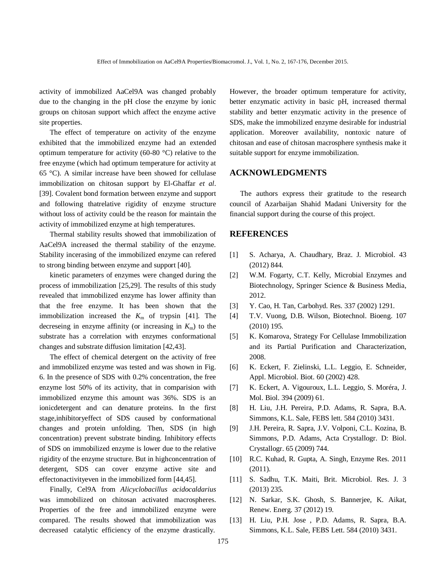activity of immobilized AaCel9A was changed probably due to the changing in the pH close the enzyme by ionic groups on chitosan support which affect the enzyme active site properties.

The effect of temperature on activity of the enzyme exhibited that the immobilized enzyme had an extended optimum temperature for activity (60-80 °C) relative to the free enzyme (which had optimum temperature for activity at 65 °C). A similar increase have been showed for cellulase immobilization on chitosan support by El-Ghaffar *et al*. [39]. Covalent bond formation between enzyme and support and following thatrelative rigidity of enzyme structure without loss of activity could be the reason for maintain the activity of immobilized enzyme at high temperatures.

Thermal stability results showed that immobilization of AaCel9A increased the thermal stability of the enzyme. Stability incerasing of the immobilized enzyme can refered to strong binding between enzyme and support [40].

kinetic parameters of enzymes were changed during the process of immobilization [25,29]. The results of this study revealed that immobilized enzyme has lower affinity than that the free enzyme. It has been shown that the immobilization increased the  $K<sub>m</sub>$  of trypsin [41]. The decreseing in enzyme affinity (or increasing in  $K<sub>m</sub>$ ) to the substrate has a correlation with enzymes conformational changes and substrate diffusion limitation [42,43].

The effect of chemical detergent on the activity of free and immobilized enzyme was tested and was shown in Fig. 6. In the presence of SDS with 0.2% concentration, the free enzyme lost 50% of its activity, that in comparision with immobilized enzyme this amount was 36%. SDS is an ionicdetergent and can denature proteins. In the first stage,inhibitoryeffect of SDS caused by conformational changes and protein unfolding. Then, SDS (in high concentration) prevent substrate binding. Inhibitory effects of SDS on immobilized enzyme is lower due to the relative rigidity of the enzyme structure. But in highconcentration of detergent, SDS can cover enzyme active site and effectonactivityeven in the immobilized form [44,45].

Finally, Cel9A from *Alicyclobacillus acidocaldarius* was immobilized on chitosan activated macrospheres. Properties of the free and immobilized enzyme were compared. The results showed that immobilization was decreased catalytic efficiency of the enzyme drastically.

However, the broader optimum temperature for activity, better enzymatic activity in basic pH, increased thermal stability and better enzymatic activity in the presence of SDS, make the immobilized enzyme desirable for industrial application. Moreover availability, nontoxic nature of chitosan and ease of chitosan macrosphere synthesis make it suitable support for enzyme immobilization.

#### **ACKNOWLEDGMENTS**

The authors express their gratitude to the research council of Azarbaijan Shahid Madani University for the financial support during the course of this project.

### **REFERENCES**

- [1] S. Acharya, A. Chaudhary, Braz. J. Microbiol. 43 (2012) 844.
- [2] W.M. Fogarty, C.T. Kelly, Microbial Enzymes and Biotechnology, Springer Science & Business Media, 2012.
- [3] Y. Cao, H. Tan, Carbohyd. Res. 337 (2002) 1291.
- [4] T.V. Vuong, D.B. Wilson, Biotechnol. Bioeng. 107 (2010) 195.
- [5] K. Komarova, Strategy For Cellulase Immobilization and its Partial Purification and Characterization, 2008.
- [6] K. Eckert, F. Zielinski, L.L. Leggio, E. Schneider, Appl. Microbiol. Biot. 60 (2002) 428.
- [7] K. Eckert, A. Vigouroux, L.L. Leggio, S. Moréra, J. Mol. Biol. 394 (2009) 61.
- [8] H. Liu, J.H. Pereira, P.D. Adams, R. Sapra, B.A. Simmons, K.L. Sale, FEBS lett. 584 (2010) 3431.
- [9] J.H. Pereira, R. Sapra, J.V. Volponi, C.L. Kozina, B. Simmons, P.D. Adams, Acta Crystallogr. D: Biol. Crystallogr. 65 (2009) 744.
- [10] R.C. Kuhad, R. Gupta, A. Singh, Enzyme Res. 2011 (2011).
- [11] S. Sadhu, T.K. Maiti, Brit. Microbiol. Res. J. 3 (2013) 235.
- [12] N. Sarkar, S.K. Ghosh, S. Bannerjee, K. Aikat, Renew. Energ. 37 (2012) 19.
- [13] H. Liu, P.H. Jose , P.D. Adams, R. Sapra, B.A. Simmons, K.L. Sale, FEBS Lett. 584 (2010) 3431.